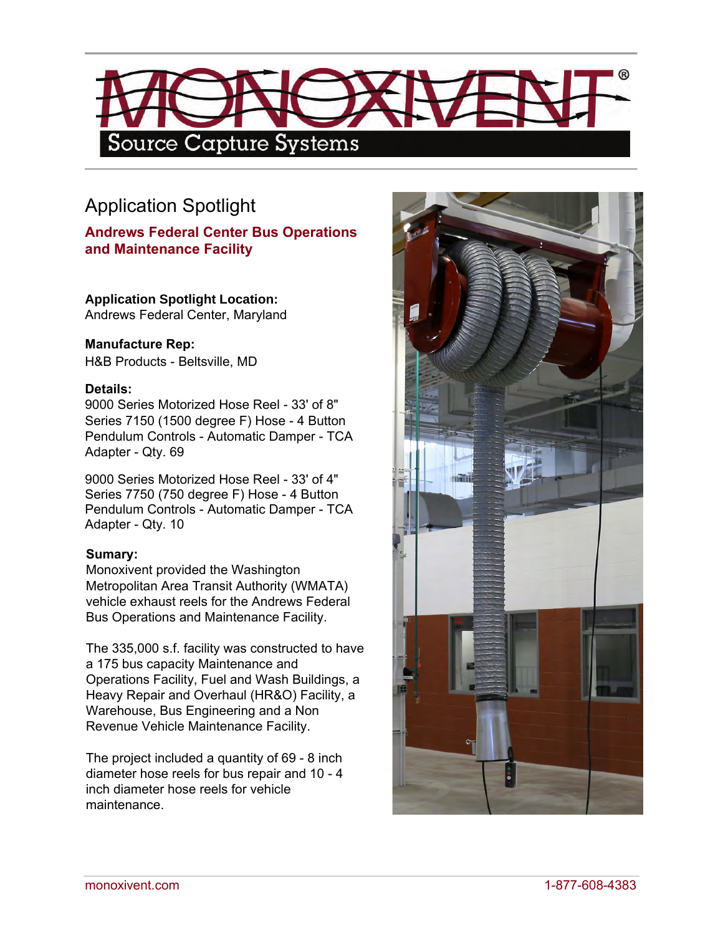

## Application Spotlight

**Andrews Federal Center Bus Operations and Maintenance Facility**

**Application Spotlight Location:** 

Andrews Federal Center, Maryland

## **Manufacture Rep:**

H&B Products - Beltsville, MD

## **Details:**

9000 Series Motorized Hose Reel - 33' of 8" Series 7150 (1500 degree F) Hose - 4 Button Pendulum Controls - Automatic Damper - TCA Adapter - Qty. 69

9000 Series Motorized Hose Reel - 33' of 4" Series 7750 (750 degree F) Hose - 4 Button Pendulum Controls - Automatic Damper - TCA Adapter - Qty. 10

## **Sumary:**

Monoxivent provided the Washington Metropolitan Area Transit Authority (WMATA) vehicle exhaust reels for the Andrews Federal Bus Operations and Maintenance Facility.

The 335,000 s.f. facility was constructed to have a 175 bus capacity Maintenance and Operations Facility, Fuel and Wash Buildings, a Heavy Repair and Overhaul (HR&O) Facility, a Warehouse, Bus Engineering and a Non Revenue Vehicle Maintenance Facility.

The project included a quantity of 69 - 8 inch diameter hose reels for bus repair and 10 - 4 inch diameter hose reels for vehicle maintenance.